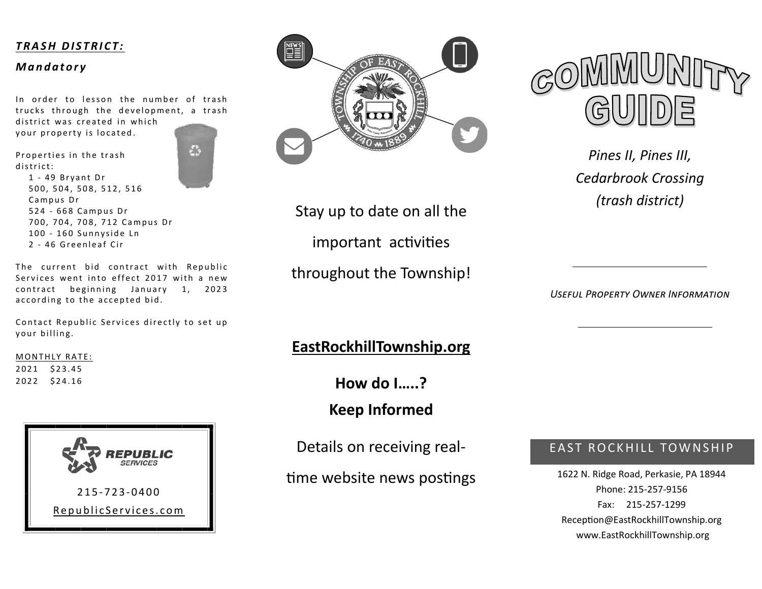#### *T R A S H D I S T R I C T :*

#### *M a n d a t o r y*

In order to lesson the number of trash trucks through the development, a trash district was created in which

your property is located.

Properties in the trash district:



1 - 49 Bryant Dr 500, 504, 508, 512, 516 Campus Dr 524 - 668 Campus Dr 700, 704, 708, 712 Campus Dr 100 - 160 Sunnyside Ln 2 - 46 Greenleaf Cir

The current bid contract with Republic Services went into effect 2017 with a new contract beginning January 1, 2023 according to the accepted bid.

Contact Republic Services directly to set up your billing.

#### MONTHLY RATE:

2021 \$23.45 2022 \$24.16





Stay up to date on all the important activities throughout the Township!

*Useful Property Owner Information* 

## **EastRockhillTownship.org**

**How do I…..?** 

**Keep Informed** 

Details on receiving real-

time website news postings

## EAST ROCKHILL TOWNSHIP

1622 N. Ridge Road, Perkasie, PA 18944 Phone: 215-257-9156 Fax: 215-257-1299 Reception@EastRockhillTownship.org www.EastRockhillTownship.org

*Pines II, Pines III, Cedarbrook Crossing (trash district)*